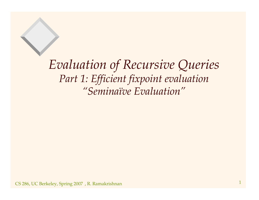*Evaluation of Recursive Queries Part 1: Efficient fixpoint evaluation "Seminaïve Evaluation"*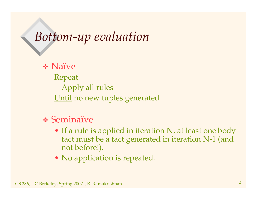## *Bottom-up evaluation*

 Naïve Repeat Apply all rules <u>Until</u> no new tuples generated

#### Seminaïve

- If a rule is applied in iteration N, at least one body fact must be a fact generated in iteration N-1 (and not before!).
- No application is repeated.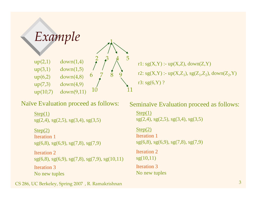

Naïve Evaluation proceed as follows:

```
Step(1)sg(2,4), sg(2,5), sg(3,4), sg(3,5)Step(2)
Iteration 1
sg(6,8), sg(6,9), sg(7,8), sg(7,9)
Iteration 2
sg(6,8), sg(6,9), sg(7,8), sg(7,9), sg(10,11)Iteration 3
No new tuples
```
r1: sg(X,Y) :- up(X,Z), down(Z,Y) r2: sg(X,Y) :- up(X,Z<sub>1</sub>), sg(Z<sub>1</sub>,Z<sub>2</sub>), down(Z<sub>2</sub>,Y) r3: sg(6,Y) ?

Seminaïve Evaluation proceed as follows:

 $Step(1)$  $sg(2,4), sg(2,5), sg(3,4), sg(3,5)$ 

Step(2) Iteration 1 sg(6,8), sg(6,9), sg(7,8), sg(7,9) Iteration 2 sg(10,11) Iteration 3 No new tuples

CS 286, UC Berkeley, Spring <sup>2007</sup> , R. Ramakrishnan <sup>3</sup>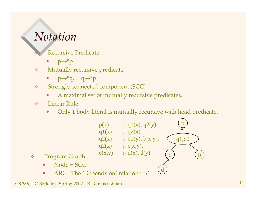#### *Notation*

❖

Recursive Predicate

- • $p \rightarrow^* p$
- $\sigma_{\rm eff}^{\rm R}$  Mutually recursive predicate
	- $p \rightarrow^* q$ ,  $q \rightarrow^* p$
- $\frac{1}{2}$  Strongly connected componen<sup>t</sup> (SCC)
	- •A maximal set of mutually recursive predicates.
- $\mathbf{e}^{\mathbf{e}}_{\mathbf{e}}$  Linear Rule
	- •Only <sup>1</sup> body literal is mutually recursive with head predicate.



- $\mathbf{e}^{\mathbf{e}}_{\mathbf{e}}$  Program Graph
	- •Node <sup>=</sup> SCC
	- •• ARC : The 'Depends on' relation  $\rightarrow$ '

CS 286, UC Berkeley, Spring <sup>2007</sup> , R. Ramakrishnan <sup>4</sup>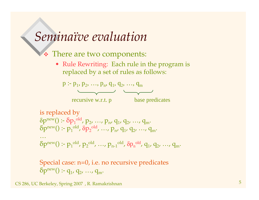#### *Seminaïve evaluation*

There are two components:

• Rule Rewriting: Each rule in the program is replaced by <sup>a</sup> set of rules as follows:



is replaced by  
\n
$$
\delta p^{new}(): \delta p_1^{old}, p_2, ..., p_n, q_1, q_2, ..., q_m
$$
  
\n $\delta p^{new}(): p_1^{old}, \delta p_2^{old}, ..., p_n, q_1, q_2, ..., q_m$   
\n...  
\n $\delta p^{new}(): p_1^{old}, p_2^{old}, ..., p_{n-1}^{old}, \delta p_n^{old}, q_1, q_2, ..., q_m$ 

Special case: n=0, i.e. no recursive predicates  $\delta p^{new}$ () :-  $q_1$ ,  $q_2$ , ...,  $q_m$ .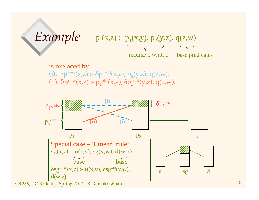# *Example*  $p(x,z) := p_1(x,y), p_2(y,z), q(z,w)$

recursive w.r.t. p base predicates

is replaced by **(i).**  $\delta p^{new}(x,z)$  :-  $\delta p_1^{old}(x,y)$ ,  $p_2(y,z)$ ,  $q(z,w)$ . (ii).  $\delta p^{new}(x,z)$  :-  $p_1^{old}(x,y)$ ,  $\delta p_2^{old}(y,z)$ , q(z,w).



CS 286, UC Berkeley, Spring 2007 , R. Ramakrishnan 1988 and 1988 and 1989 and 1989 and 1989 and 1989 and 1989 and 1989 and 1989 and 1989 and 1989 and 1989 and 1989 and 1989 and 1989 and 1989 and 1989 and 1989 and 1989 and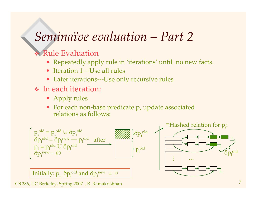### *Seminaïve evaluation – Part 2*

#### Rule Evaluation

- Repeatedly apply rule in 'iterations' until no new facts.
- Iteration 1---Use all rules
- Later iterations---Use only recursive rules
- In each iteration:
	- Apply rules
	- For each non-base predicate p, update associated relations as follows:



CS 286, UC Berkeley, Spring <sup>2007</sup> , R. Ramakrishnan <sup>7</sup>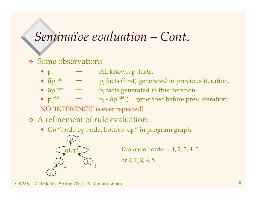#### *Seminaïve evaluation – Cont.*

#### Some observations

- $\bullet$   $p_i$ All known  $p_i$  facts.
- $\delta p_i^{\text{old}}$   $\longrightarrow$   $p_i$  facts (first) generated in previous iteration.
- $\delta p_i^{new}$   $p_i$  facts generated in this iteration.
- $\bullet$   $p_i$ <sup>old</sup>  $p_i - \delta p_i^{\text{old}}$  (  $\therefore$  generated before prev. iteration)

NO '<u>INFERENCE</u>' is ever repeated!

- A refinement of rule evaluation:
	- Go "node by node, bottom-up" in program graph.



Evaluation order <sup>=</sup> 1, 2, 3, 4, 5

or 3, 1, 2, 4, 5

 $\text{CS}$  286, UC Berkeley, Spring 2007), R. Ramakrishnan  $8$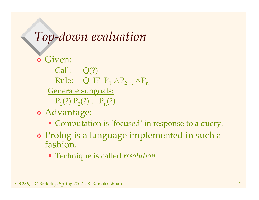## *Top-down evaluation*

**◆ Given:** Call: Q(?) Rule:  $\quad$  Q IF  $\mathrm{P_{1}}$   $\land \mathrm{P_{2}}$   $\quad$   $\land$   $\mathrm{P_{n}}$ Generate subgoals:  $P_1(?) P_2(?) ... P_n(?)$ 

- Advantage:
	- Computation is 'focused' in response to <sup>a</sup> query.
- Prolog is <sup>a</sup> language implemented in such <sup>a</sup> fashion.
	- Technique is called *resolution*